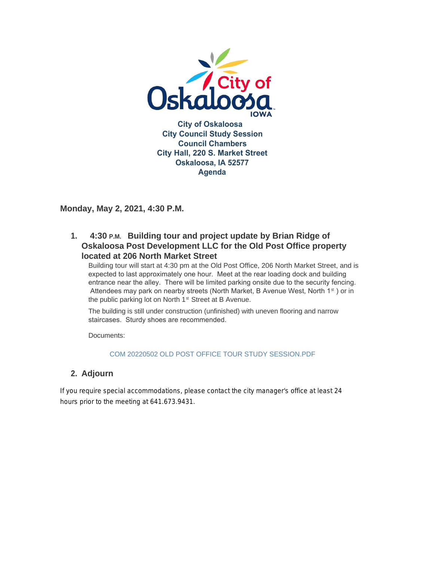

**Monday, May 2, 2021, 4:30 P.M.**

**Building tour and project update by Brian Ridge of 1. 4:30 P.M. Oskaloosa Post Development LLC for the Old Post Office property located at 206 North Market Street**

Building tour will start at 4:30 pm at the Old Post Office, 206 North Market Street, and is expected to last approximately one hour. Meet at the rear loading dock and building entrance near the alley. There will be limited parking onsite due to the security fencing. Attendees may park on nearby streets (North Market, B Avenue West, North 1<sup>st</sup>) or in the public parking lot on North 1<sup>st</sup> Street at B Avenue.

The building is still under construction (unfinished) with uneven flooring and narrow staircases. Sturdy shoes are recommended.

Documents:

COM 20220502 OLD POST OFFICE TOUR STUDY SESSION.PDF

# **Adjourn 2.**

If you require special accommodations, please contact the city manager's office at least 24 hours prior to the meeting at 641.673.9431.